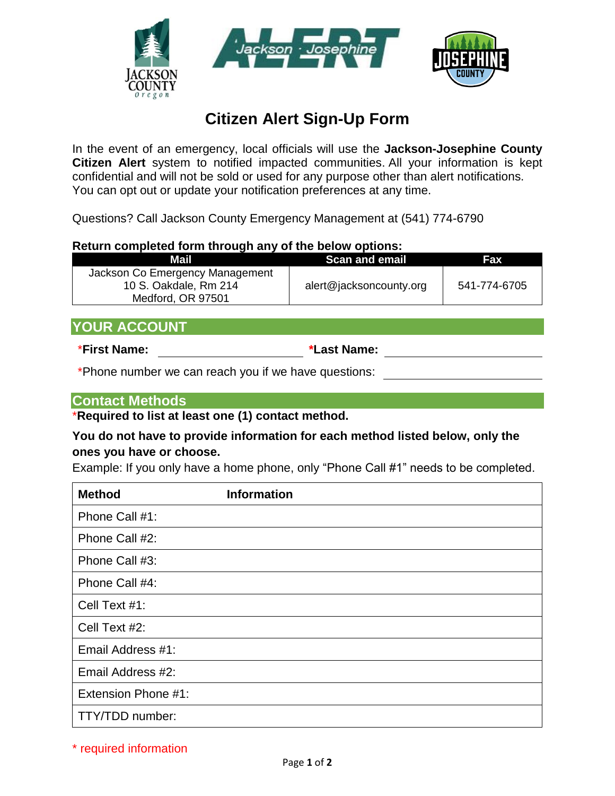

# **Citizen Alert Sign-Up Form**

In the event of an emergency, local officials will use the **Jackson-Josephine County Citizen Alert** system to notified impacted communities. All your information is kept confidential and will not be sold or used for any purpose other than alert notifications. You can opt out or update your notification preferences at any time.

Questions? Call Jackson County Emergency Management at (541) 774-6790

#### **Return completed form through any of the below options:**

| Mail                            | <b>Scan and email</b>   | Fax          |
|---------------------------------|-------------------------|--------------|
| Jackson Co Emergency Management |                         |              |
| 10 S. Oakdale, Rm 214           | alert@jacksoncounty.org | 541-774-6705 |
| Medford, OR 97501               |                         |              |

## **YOUR ACCOUNT**

\***First Name: \*Last Name:**

\*Phone number we can reach you if we have questions:

#### **Contact Methods**

\***Required to list at least one (1) contact method.**

#### **You do not have to provide information for each method listed below, only the ones you have or choose.**

Example: If you only have a home phone, only "Phone Call #1" needs to be completed.

| <b>Method</b>              | <b>Information</b> |
|----------------------------|--------------------|
| Phone Call #1:             |                    |
| Phone Call #2:             |                    |
| Phone Call #3:             |                    |
| Phone Call #4:             |                    |
| Cell Text #1:              |                    |
| Cell Text #2:              |                    |
| Email Address #1:          |                    |
| Email Address #2:          |                    |
| <b>Extension Phone #1:</b> |                    |
| TTY/TDD number:            |                    |

\* required information